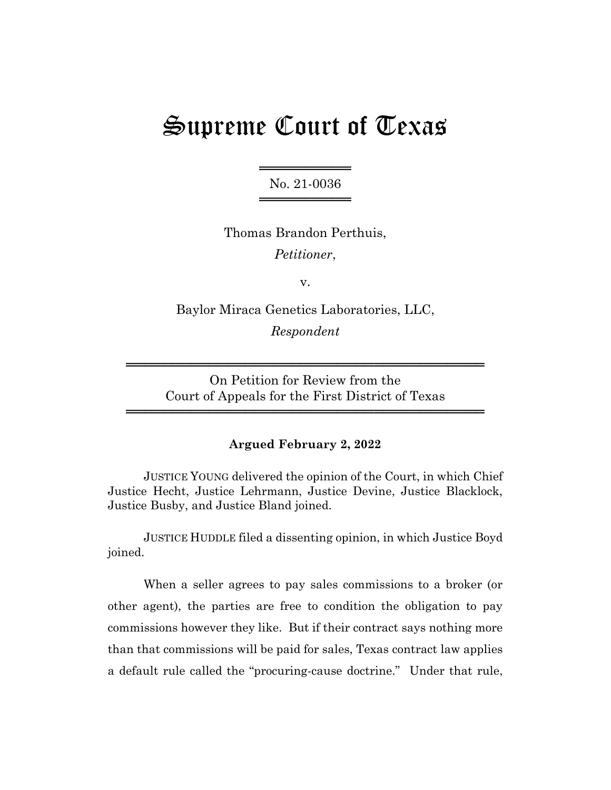# Supreme Court of Texas

═══════════════════ No. 21-0036 ═════════════════

Thomas Brandon Perthuis, *Petitioner*,

v.

Baylor Miraca Genetics Laboratories, LLC, *Respondent*

On Petition for Review from the Court of Appeals for the First District of Texas

═══════════════════════════════════════

═══════════════════════════════════════

# **Argued February 2, 2022**

JUSTICE YOUNG delivered the opinion of the Court, in which Chief Justice Hecht, Justice Lehrmann, Justice Devine, Justice Blacklock, Justice Busby, and Justice Bland joined.

JUSTICE HUDDLE filed a dissenting opinion, in which Justice Boyd joined.

When a seller agrees to pay sales commissions to a broker (or other agent), the parties are free to condition the obligation to pay commissions however they like. But if their contract says nothing more than that commissions will be paid for sales, Texas contract law applies a default rule called the "procuring-cause doctrine." Under that rule,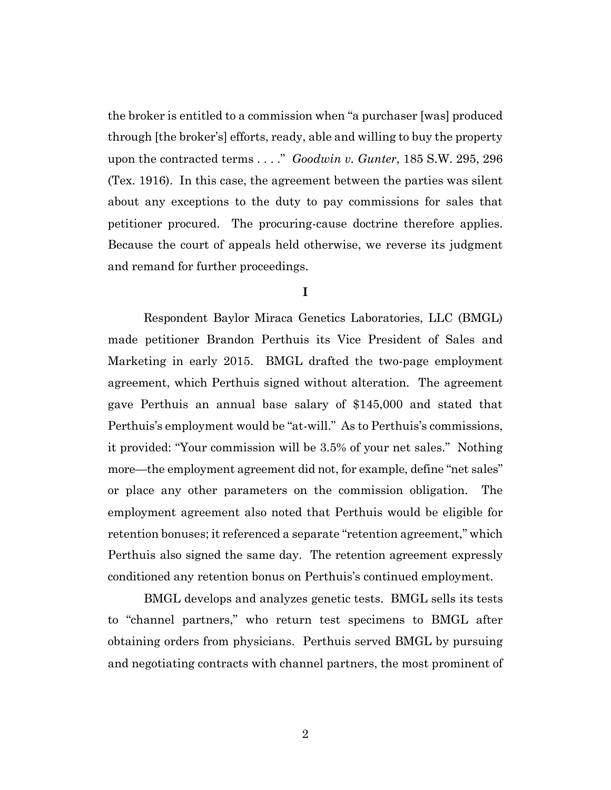the broker is entitled to a commission when "a purchaser [was] produced through [the broker's] efforts, ready, able and willing to buy the property upon the contracted terms . . . ." *Goodwin v. Gunter*, 185 S.W. 295, 296 (Tex. 1916). In this case, the agreement between the parties was silent about any exceptions to the duty to pay commissions for sales that petitioner procured. The procuring-cause doctrine therefore applies. Because the court of appeals held otherwise, we reverse its judgment and remand for further proceedings.

#### **I**

Respondent Baylor Miraca Genetics Laboratories, LLC (BMGL) made petitioner Brandon Perthuis its Vice President of Sales and Marketing in early 2015. BMGL drafted the two-page employment agreement, which Perthuis signed without alteration. The agreement gave Perthuis an annual base salary of \$145,000 and stated that Perthuis's employment would be "at-will." As to Perthuis's commissions, it provided: "Your commission will be 3.5% of your net sales." Nothing more—the employment agreement did not, for example, define "net sales" or place any other parameters on the commission obligation. The employment agreement also noted that Perthuis would be eligible for retention bonuses; it referenced a separate "retention agreement," which Perthuis also signed the same day. The retention agreement expressly conditioned any retention bonus on Perthuis's continued employment.

BMGL develops and analyzes genetic tests. BMGL sells its tests to "channel partners," who return test specimens to BMGL after obtaining orders from physicians. Perthuis served BMGL by pursuing and negotiating contracts with channel partners, the most prominent of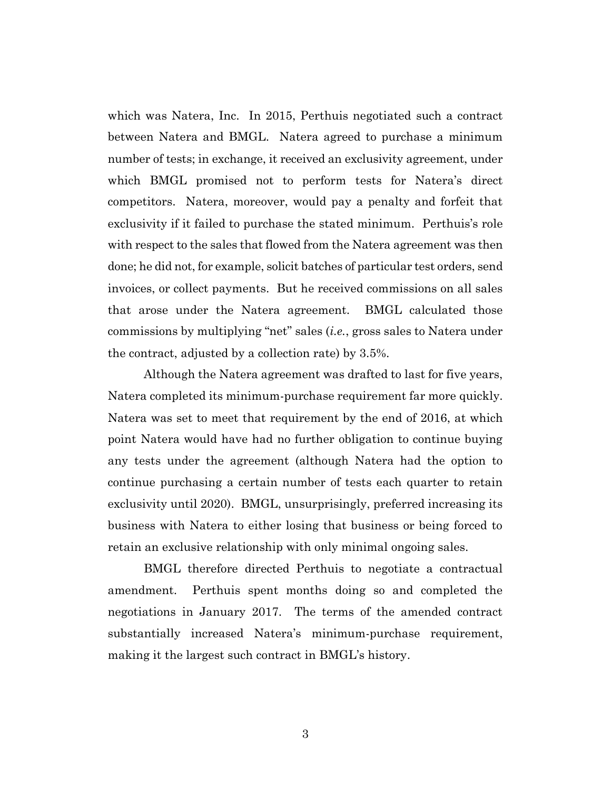which was Natera, Inc. In 2015, Perthuis negotiated such a contract between Natera and BMGL. Natera agreed to purchase a minimum number of tests; in exchange, it received an exclusivity agreement, under which BMGL promised not to perform tests for Natera's direct competitors. Natera, moreover, would pay a penalty and forfeit that exclusivity if it failed to purchase the stated minimum. Perthuis's role with respect to the sales that flowed from the Natera agreement was then done; he did not, for example, solicit batches of particular test orders, send invoices, or collect payments. But he received commissions on all sales that arose under the Natera agreement. BMGL calculated those commissions by multiplying "net" sales (*i.e.*, gross sales to Natera under the contract, adjusted by a collection rate) by 3.5%.

Although the Natera agreement was drafted to last for five years, Natera completed its minimum-purchase requirement far more quickly. Natera was set to meet that requirement by the end of 2016, at which point Natera would have had no further obligation to continue buying any tests under the agreement (although Natera had the option to continue purchasing a certain number of tests each quarter to retain exclusivity until 2020). BMGL, unsurprisingly, preferred increasing its business with Natera to either losing that business or being forced to retain an exclusive relationship with only minimal ongoing sales.

BMGL therefore directed Perthuis to negotiate a contractual amendment. Perthuis spent months doing so and completed the negotiations in January 2017. The terms of the amended contract substantially increased Natera's minimum-purchase requirement, making it the largest such contract in BMGL's history.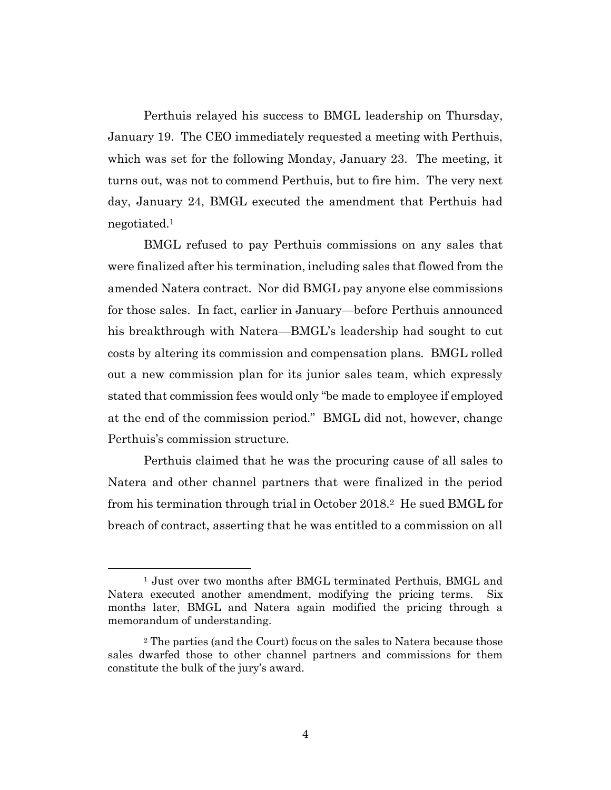Perthuis relayed his success to BMGL leadership on Thursday, January 19. The CEO immediately requested a meeting with Perthuis, which was set for the following Monday, January 23. The meeting, it turns out, was not to commend Perthuis, but to fire him. The very next day, January 24, BMGL executed the amendment that Perthuis had negotiated.<sup>1</sup>

BMGL refused to pay Perthuis commissions on any sales that were finalized after his termination, including sales that flowed from the amended Natera contract. Nor did BMGL pay anyone else commissions for those sales. In fact, earlier in January—before Perthuis announced his breakthrough with Natera—BMGL's leadership had sought to cut costs by altering its commission and compensation plans. BMGL rolled out a new commission plan for its junior sales team, which expressly stated that commission fees would only "be made to employee if employed at the end of the commission period." BMGL did not, however, change Perthuis's commission structure.

Perthuis claimed that he was the procuring cause of all sales to Natera and other channel partners that were finalized in the period from his termination through trial in October 2018.2 He sued BMGL for breach of contract, asserting that he was entitled to a commission on all

<sup>&</sup>lt;sup>1</sup> Just over two months after BMGL terminated Perthuis, BMGL and Natera executed another amendment, modifying the pricing terms. Six months later, BMGL and Natera again modified the pricing through a memorandum of understanding.

<sup>2</sup> The parties (and the Court) focus on the sales to Natera because those sales dwarfed those to other channel partners and commissions for them constitute the bulk of the jury's award.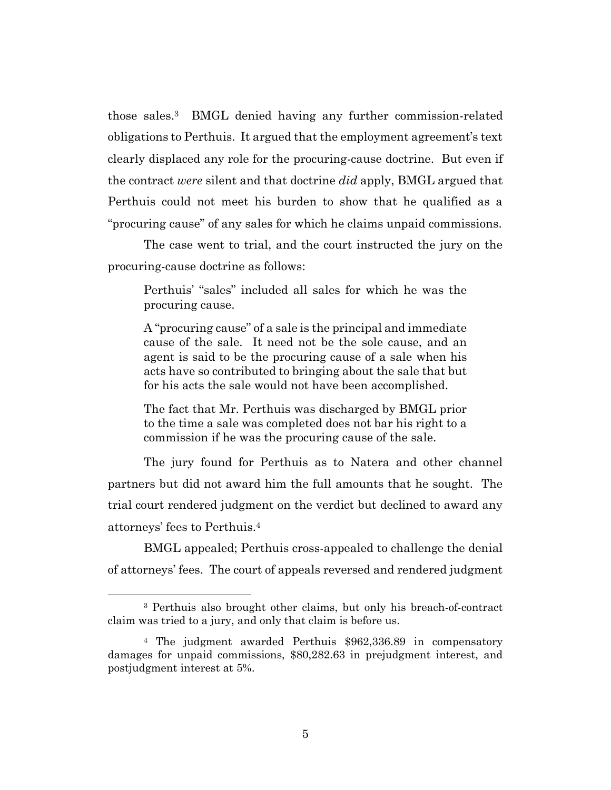those sales.3 BMGL denied having any further commission-related obligations to Perthuis. It argued that the employment agreement's text clearly displaced any role for the procuring-cause doctrine. But even if the contract *were* silent and that doctrine *did* apply, BMGL argued that Perthuis could not meet his burden to show that he qualified as a "procuring cause" of any sales for which he claims unpaid commissions.

The case went to trial, and the court instructed the jury on the procuring-cause doctrine as follows:

Perthuis' "sales" included all sales for which he was the procuring cause.

A "procuring cause" of a sale is the principal and immediate cause of the sale. It need not be the sole cause, and an agent is said to be the procuring cause of a sale when his acts have so contributed to bringing about the sale that but for his acts the sale would not have been accomplished.

The fact that Mr. Perthuis was discharged by BMGL prior to the time a sale was completed does not bar his right to a commission if he was the procuring cause of the sale.

The jury found for Perthuis as to Natera and other channel partners but did not award him the full amounts that he sought. The trial court rendered judgment on the verdict but declined to award any attorneys' fees to Perthuis.<sup>4</sup>

BMGL appealed; Perthuis cross-appealed to challenge the denial of attorneys' fees. The court of appeals reversed and rendered judgment

<sup>3</sup> Perthuis also brought other claims, but only his breach-of-contract claim was tried to a jury, and only that claim is before us.

<sup>4</sup> The judgment awarded Perthuis \$962,336.89 in compensatory damages for unpaid commissions, \$80,282.63 in prejudgment interest, and postjudgment interest at 5%.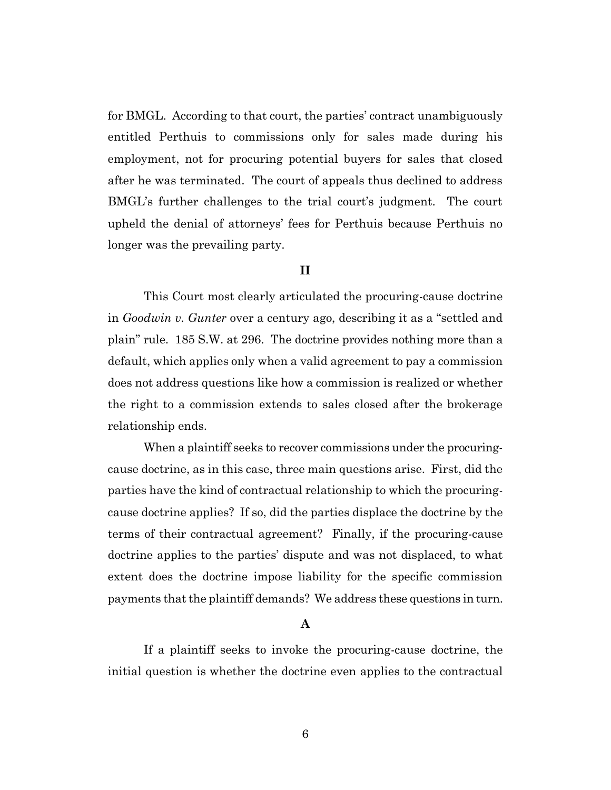for BMGL. According to that court, the parties' contract unambiguously entitled Perthuis to commissions only for sales made during his employment, not for procuring potential buyers for sales that closed after he was terminated. The court of appeals thus declined to address BMGL's further challenges to the trial court's judgment. The court upheld the denial of attorneys' fees for Perthuis because Perthuis no longer was the prevailing party.

# **II**

This Court most clearly articulated the procuring-cause doctrine in *Goodwin v. Gunter* over a century ago, describing it as a "settled and plain" rule. 185 S.W. at 296. The doctrine provides nothing more than a default, which applies only when a valid agreement to pay a commission does not address questions like how a commission is realized or whether the right to a commission extends to sales closed after the brokerage relationship ends.

When a plaintiff seeks to recover commissions under the procuringcause doctrine, as in this case, three main questions arise. First, did the parties have the kind of contractual relationship to which the procuringcause doctrine applies? If so, did the parties displace the doctrine by the terms of their contractual agreement? Finally, if the procuring-cause doctrine applies to the parties' dispute and was not displaced, to what extent does the doctrine impose liability for the specific commission payments that the plaintiff demands? We address these questions in turn.

#### **A**

If a plaintiff seeks to invoke the procuring-cause doctrine, the initial question is whether the doctrine even applies to the contractual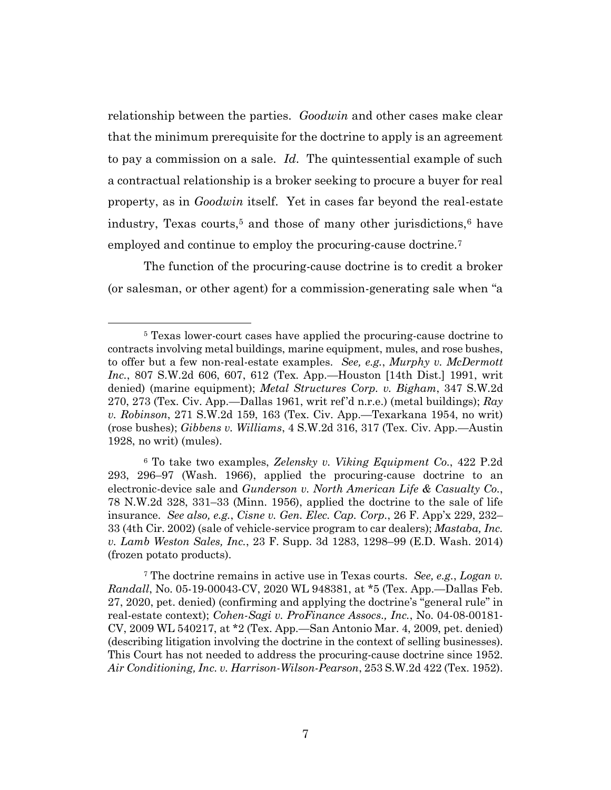relationship between the parties. *Goodwin* and other cases make clear that the minimum prerequisite for the doctrine to apply is an agreement to pay a commission on a sale. *Id*. The quintessential example of such a contractual relationship is a broker seeking to procure a buyer for real property, as in *Goodwin* itself. Yet in cases far beyond the real-estate industry, Texas courts, <sup>5</sup> and those of many other jurisdictions,<sup>6</sup> have employed and continue to employ the procuring-cause doctrine.<sup>7</sup>

The function of the procuring-cause doctrine is to credit a broker (or salesman, or other agent) for a commission-generating sale when "a

<sup>6</sup> To take two examples, *Zelensky v. Viking Equipment Co.*, 422 P.2d 293, 296–97 (Wash. 1966), applied the procuring-cause doctrine to an electronic-device sale and *Gunderson v. North American Life & Casualty Co.*, 78 N.W.2d 328, 331–33 (Minn. 1956), applied the doctrine to the sale of life insurance. *See also, e.g.*, *Cisne v. Gen. Elec. Cap. Corp.*, 26 F. App'x 229, 232– 33 (4th Cir. 2002) (sale of vehicle-service program to car dealers); *Mastaba, Inc. v. Lamb Weston Sales, Inc.*, 23 F. Supp. 3d 1283, 1298–99 (E.D. Wash. 2014) (frozen potato products).

<sup>7</sup> The doctrine remains in active use in Texas courts. *See, e.g.*, *Logan v. Randall*, No. 05-19-00043-CV, 2020 WL 948381, at \*5 (Tex. App.—Dallas Feb. 27, 2020, pet. denied) (confirming and applying the doctrine's "general rule" in real-estate context); *Cohen-Sagi v. ProFinance Assocs., Inc.*, No. 04-08-00181- CV, 2009 WL 540217, at \*2 (Tex. App.—San Antonio Mar. 4, 2009, pet. denied) (describing litigation involving the doctrine in the context of selling businesses). This Court has not needed to address the procuring-cause doctrine since 1952. *Air Conditioning, Inc. v. Harrison-Wilson-Pearson*, 253 S.W.2d 422 (Tex. 1952).

<sup>5</sup> Texas lower-court cases have applied the procuring-cause doctrine to contracts involving metal buildings, marine equipment, mules, and rose bushes, to offer but a few non-real-estate examples. *See, e.g.*, *Murphy v. McDermott Inc.*, 807 S.W.2d 606, 607, 612 (Tex. App.—Houston [14th Dist.] 1991, writ denied) (marine equipment); *Metal Structures Corp. v. Bigham*, 347 S.W.2d 270, 273 (Tex. Civ. App.—Dallas 1961, writ ref'd n.r.e.) (metal buildings); *Ray v. Robinson*, 271 S.W.2d 159, 163 (Tex. Civ. App.—Texarkana 1954, no writ) (rose bushes); *Gibbens v. Williams*, 4 S.W.2d 316, 317 (Tex. Civ. App.—Austin 1928, no writ) (mules).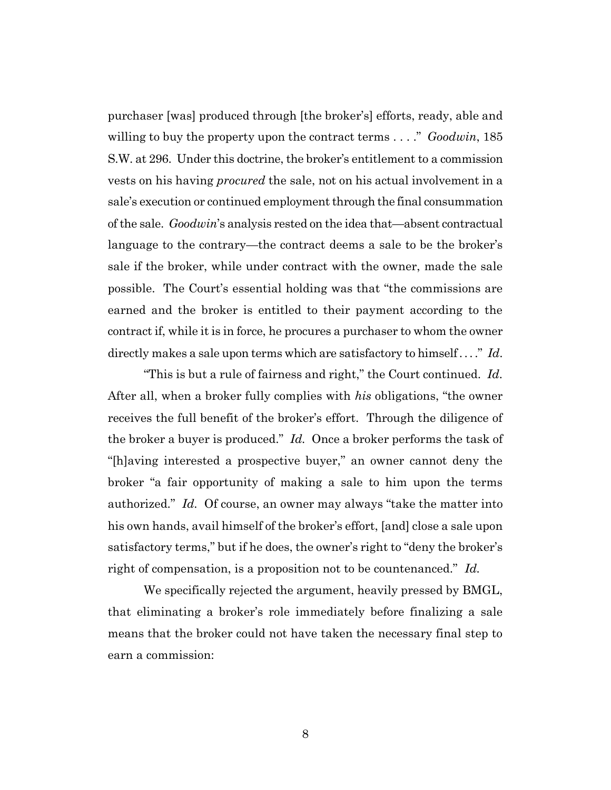purchaser [was] produced through [the broker's] efforts, ready, able and willing to buy the property upon the contract terms . . . ." *Goodwin*, 185 S.W. at 296.Under this doctrine, the broker's entitlement to a commission vests on his having *procured* the sale, not on his actual involvement in a sale's execution or continued employment through the final consummation of the sale. *Goodwin*'s analysis rested on the idea that—absent contractual language to the contrary—the contract deems a sale to be the broker's sale if the broker, while under contract with the owner, made the sale possible. The Court's essential holding was that "the commissions are earned and the broker is entitled to their payment according to the contract if, while it is in force, he procures a purchaser to whom the owner directly makes a sale upon terms which are satisfactory to himself . . . ." *Id*.

"This is but a rule of fairness and right," the Court continued. *Id.* After all, when a broker fully complies with *his* obligations, "the owner receives the full benefit of the broker's effort. Through the diligence of the broker a buyer is produced." *Id.* Once a broker performs the task of "[h]aving interested a prospective buyer," an owner cannot deny the broker "a fair opportunity of making a sale to him upon the terms authorized." *Id.* Of course, an owner may always "take the matter into his own hands, avail himself of the broker's effort, [and] close a sale upon satisfactory terms," but if he does, the owner's right to "deny the broker's right of compensation, is a proposition not to be countenanced." *Id.*

We specifically rejected the argument, heavily pressed by BMGL, that eliminating a broker's role immediately before finalizing a sale means that the broker could not have taken the necessary final step to earn a commission: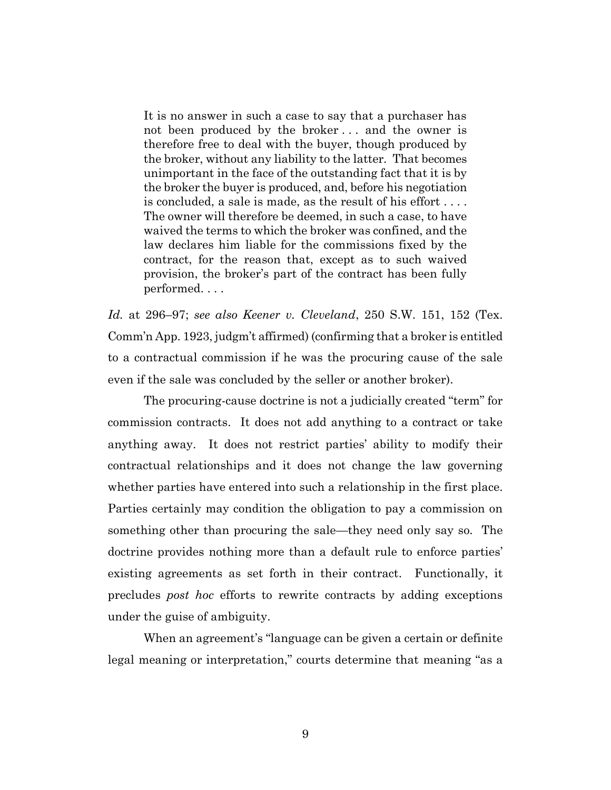It is no answer in such a case to say that a purchaser has not been produced by the broker . . . and the owner is therefore free to deal with the buyer, though produced by the broker, without any liability to the latter. That becomes unimportant in the face of the outstanding fact that it is by the broker the buyer is produced, and, before his negotiation is concluded, a sale is made, as the result of his effort . . . . The owner will therefore be deemed, in such a case, to have waived the terms to which the broker was confined, and the law declares him liable for the commissions fixed by the contract, for the reason that, except as to such waived provision, the broker's part of the contract has been fully performed. . . .

*Id.* at 296–97; *see also Keener v. Cleveland*, 250 S.W. 151, 152 (Tex. Comm'n App. 1923, judgm't affirmed) (confirming that a broker is entitled to a contractual commission if he was the procuring cause of the sale even if the sale was concluded by the seller or another broker).

The procuring-cause doctrine is not a judicially created "term" for commission contracts. It does not add anything to a contract or take anything away. It does not restrict parties' ability to modify their contractual relationships and it does not change the law governing whether parties have entered into such a relationship in the first place. Parties certainly may condition the obligation to pay a commission on something other than procuring the sale—they need only say so. The doctrine provides nothing more than a default rule to enforce parties' existing agreements as set forth in their contract. Functionally, it precludes *post hoc* efforts to rewrite contracts by adding exceptions under the guise of ambiguity.

When an agreement's "language can be given a certain or definite legal meaning or interpretation," courts determine that meaning "as a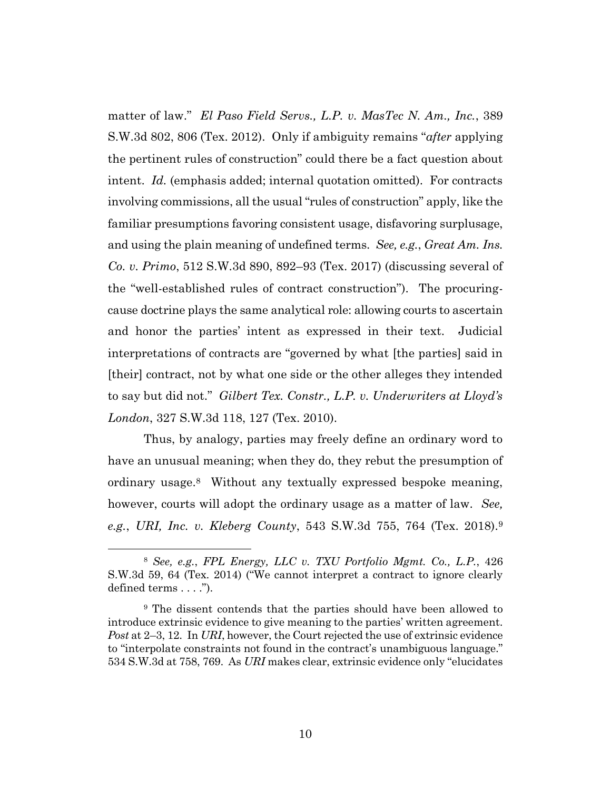matter of law." *El Paso Field Servs., L.P. v. MasTec N. Am., Inc.*, 389 S.W.3d 802, 806 (Tex. 2012). Only if ambiguity remains "*after* applying the pertinent rules of construction" could there be a fact question about intent. *Id.* (emphasis added; internal quotation omitted). For contracts involving commissions, all the usual "rules of construction" apply, like the familiar presumptions favoring consistent usage, disfavoring surplusage, and using the plain meaning of undefined terms. *See, e.g.*, *Great Am. Ins. Co. v. Primo*, 512 S.W.3d 890, 892–93 (Tex. 2017) (discussing several of the "well-established rules of contract construction"). The procuringcause doctrine plays the same analytical role: allowing courts to ascertain and honor the parties' intent as expressed in their text. Judicial interpretations of contracts are "governed by what [the parties] said in [their] contract, not by what one side or the other alleges they intended to say but did not." *Gilbert Tex. Constr., L.P. v. Underwriters at Lloyd's London*, 327 S.W.3d 118, 127 (Tex. 2010).

Thus, by analogy, parties may freely define an ordinary word to have an unusual meaning; when they do, they rebut the presumption of ordinary usage.8 Without any textually expressed bespoke meaning, however, courts will adopt the ordinary usage as a matter of law. *See, e.g.*, *URI, Inc. v. Kleberg County*, 543 S.W.3d 755, 764 (Tex. 2018).<sup>9</sup>

<sup>8</sup> *See, e.g.*, *FPL Energy, LLC v. TXU Portfolio Mgmt. Co., L.P.*, 426 S.W.3d 59, 64 (Tex. 2014) ("We cannot interpret a contract to ignore clearly defined terms . . . .").

<sup>9</sup> The dissent contends that the parties should have been allowed to introduce extrinsic evidence to give meaning to the parties' written agreement. *Post* at 2–3, 12. In *URI*, however, the Court rejected the use of extrinsic evidence to "interpolate constraints not found in the contract's unambiguous language." 534 S.W.3d at 758, 769. As *URI* makes clear, extrinsic evidence only "elucidates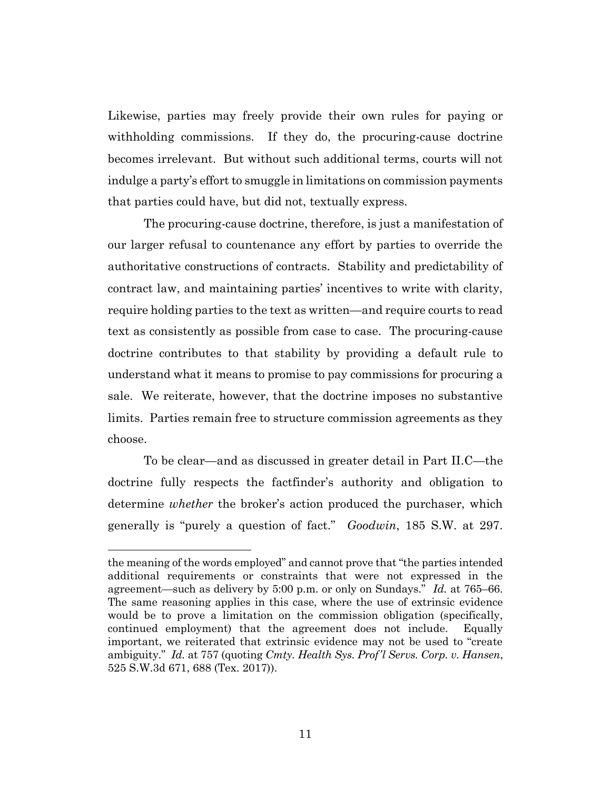Likewise, parties may freely provide their own rules for paying or withholding commissions. If they do, the procuring-cause doctrine becomes irrelevant. But without such additional terms, courts will not indulge a party's effort to smuggle in limitations on commission payments that parties could have, but did not, textually express.

The procuring-cause doctrine, therefore, is just a manifestation of our larger refusal to countenance any effort by parties to override the authoritative constructions of contracts. Stability and predictability of contract law, and maintaining parties' incentives to write with clarity, require holding parties to the text as written—and require courts to read text as consistently as possible from case to case. The procuring-cause doctrine contributes to that stability by providing a default rule to understand what it means to promise to pay commissions for procuring a sale. We reiterate, however, that the doctrine imposes no substantive limits. Parties remain free to structure commission agreements as they choose.

To be clear—and as discussed in greater detail in Part II.C—the doctrine fully respects the factfinder's authority and obligation to determine *whether* the broker's action produced the purchaser, which generally is "purely a question of fact." *Goodwin*, 185 S.W. at 297.

the meaning of the words employed" and cannot prove that "the parties intended additional requirements or constraints that were not expressed in the agreement—such as delivery by 5:00 p.m. or only on Sundays." *Id.* at 765–66. The same reasoning applies in this case, where the use of extrinsic evidence would be to prove a limitation on the commission obligation (specifically, continued employment) that the agreement does not include. Equally important, we reiterated that extrinsic evidence may not be used to "create ambiguity." *Id.* at 757 (quoting *Cmty. Health Sys. Prof'l Servs. Corp. v. Hansen*, 525 S.W.3d 671, 688 (Tex. 2017)).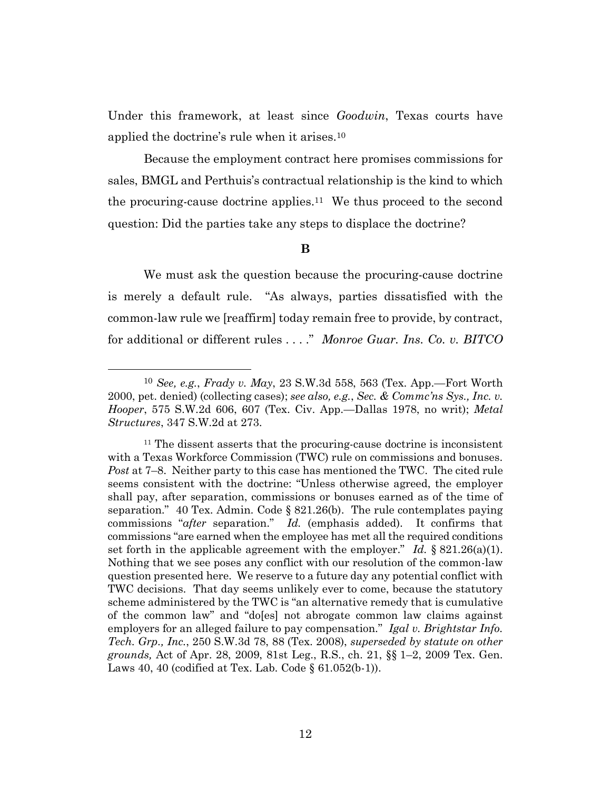Under this framework, at least since *Goodwin*, Texas courts have applied the doctrine's rule when it arises.<sup>10</sup>

Because the employment contract here promises commissions for sales, BMGL and Perthuis's contractual relationship is the kind to which the procuring-cause doctrine applies.11 We thus proceed to the second question: Did the parties take any steps to displace the doctrine?

# **B**

We must ask the question because the procuring-cause doctrine is merely a default rule. "As always, parties dissatisfied with the common-law rule we [reaffirm] today remain free to provide, by contract, for additional or different rules . . . ." *Monroe Guar. Ins. Co. v. BITCO* 

<sup>10</sup> *See, e.g.*, *Frady v. May*, 23 S.W.3d 558, 563 (Tex. App.—Fort Worth 2000, pet. denied) (collecting cases); *see also, e.g.*, *Sec. & Commc'ns Sys., Inc. v. Hooper*, 575 S.W.2d 606, 607 (Tex. Civ. App.—Dallas 1978, no writ); *Metal Structures*, 347 S.W.2d at 273.

<sup>&</sup>lt;sup>11</sup> The dissent asserts that the procuring-cause doctrine is inconsistent with a Texas Workforce Commission (TWC) rule on commissions and bonuses. *Post* at 7–8. Neither party to this case has mentioned the TWC. The cited rule seems consistent with the doctrine: "Unless otherwise agreed, the employer shall pay, after separation, commissions or bonuses earned as of the time of separation." 40 Tex. Admin. Code § 821.26(b). The rule contemplates paying commissions "*after* separation." *Id.* (emphasis added). It confirms that commissions "are earned when the employee has met all the required conditions set forth in the applicable agreement with the employer." *Id.* § 821.26(a)(1). Nothing that we see poses any conflict with our resolution of the common-law question presented here. We reserve to a future day any potential conflict with TWC decisions. That day seems unlikely ever to come, because the statutory scheme administered by the TWC is "an alternative remedy that is cumulative of the common law" and "do[es] not abrogate common law claims against employers for an alleged failure to pay compensation." *Igal v. Brightstar Info. Tech. Grp., Inc.*, 250 S.W.3d 78, 88 (Tex. 2008), *superseded by statute on other grounds,* Act of Apr. 28, 2009, 81st Leg., R.S., ch. 21, §§ 1–2, 2009 Tex. Gen. Laws 40, 40 (codified at Tex. Lab. Code  $\S$  61.052(b-1)).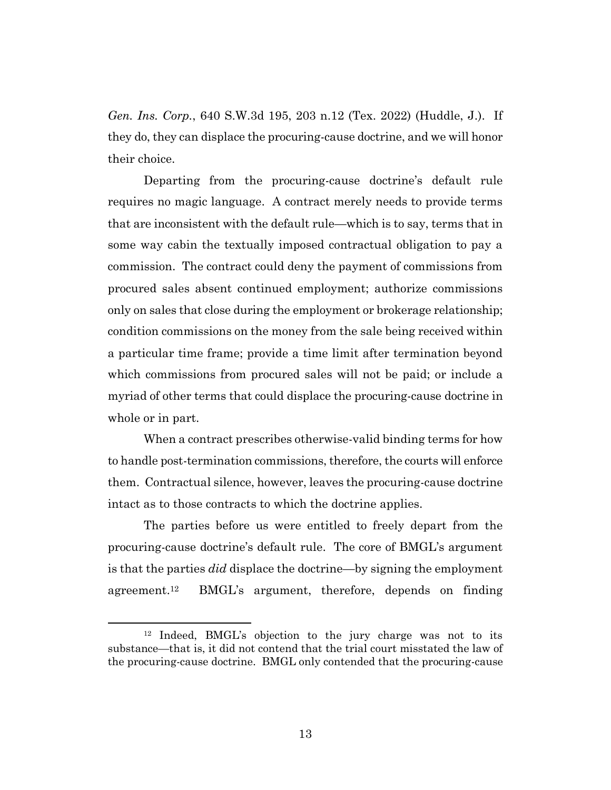*Gen. Ins. Corp.*, 640 S.W.3d 195, 203 n.12 (Tex. 2022) (Huddle, J.). If they do, they can displace the procuring-cause doctrine, and we will honor their choice.

Departing from the procuring-cause doctrine's default rule requires no magic language. A contract merely needs to provide terms that are inconsistent with the default rule—which is to say, terms that in some way cabin the textually imposed contractual obligation to pay a commission. The contract could deny the payment of commissions from procured sales absent continued employment; authorize commissions only on sales that close during the employment or brokerage relationship; condition commissions on the money from the sale being received within a particular time frame; provide a time limit after termination beyond which commissions from procured sales will not be paid; or include a myriad of other terms that could displace the procuring-cause doctrine in whole or in part.

When a contract prescribes otherwise-valid binding terms for how to handle post-termination commissions, therefore, the courts will enforce them.Contractual silence, however, leaves the procuring-cause doctrine intact as to those contracts to which the doctrine applies.

The parties before us were entitled to freely depart from the procuring-cause doctrine's default rule. The core of BMGL's argument is that the parties *did* displace the doctrine—by signing the employment agreement.<sup>12</sup> BMGL's argument, therefore, depends on finding

<sup>12</sup> Indeed, BMGL's objection to the jury charge was not to its substance—that is, it did not contend that the trial court misstated the law of the procuring-cause doctrine. BMGL only contended that the procuring-cause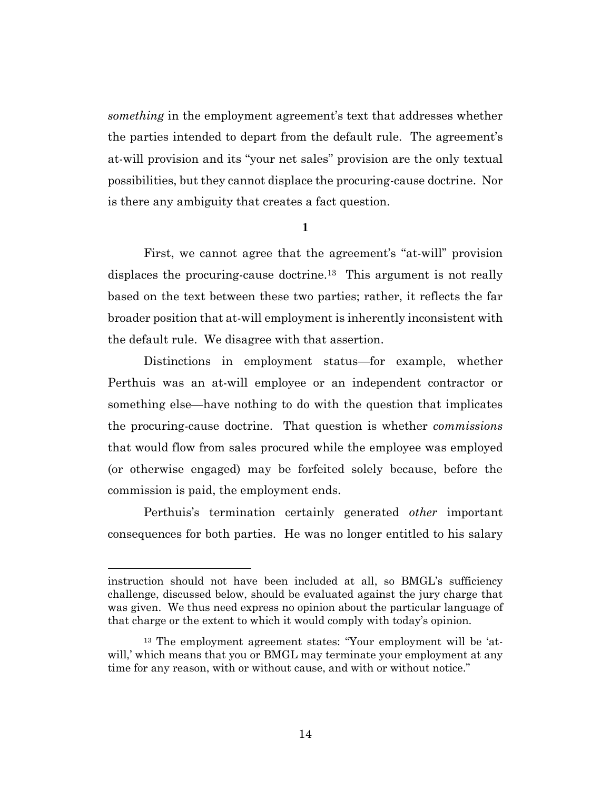*something* in the employment agreement's text that addresses whether the parties intended to depart from the default rule. The agreement's at-will provision and its "your net sales" provision are the only textual possibilities, but they cannot displace the procuring-cause doctrine. Nor is there any ambiguity that creates a fact question.

**1**

First, we cannot agree that the agreement's "at-will" provision displaces the procuring-cause doctrine.<sup>13</sup> This argument is not really based on the text between these two parties; rather, it reflects the far broader position that at-will employment is inherently inconsistent with the default rule. We disagree with that assertion.

Distinctions in employment status—for example, whether Perthuis was an at-will employee or an independent contractor or something else—have nothing to do with the question that implicates the procuring-cause doctrine. That question is whether *commissions*  that would flow from sales procured while the employee was employed (or otherwise engaged) may be forfeited solely because, before the commission is paid, the employment ends.

Perthuis's termination certainly generated *other* important consequences for both parties. He was no longer entitled to his salary

instruction should not have been included at all, so BMGL's sufficiency challenge, discussed below, should be evaluated against the jury charge that was given. We thus need express no opinion about the particular language of that charge or the extent to which it would comply with today's opinion.

<sup>13</sup> The employment agreement states: "Your employment will be 'atwill,' which means that you or BMGL may terminate your employment at any time for any reason, with or without cause, and with or without notice."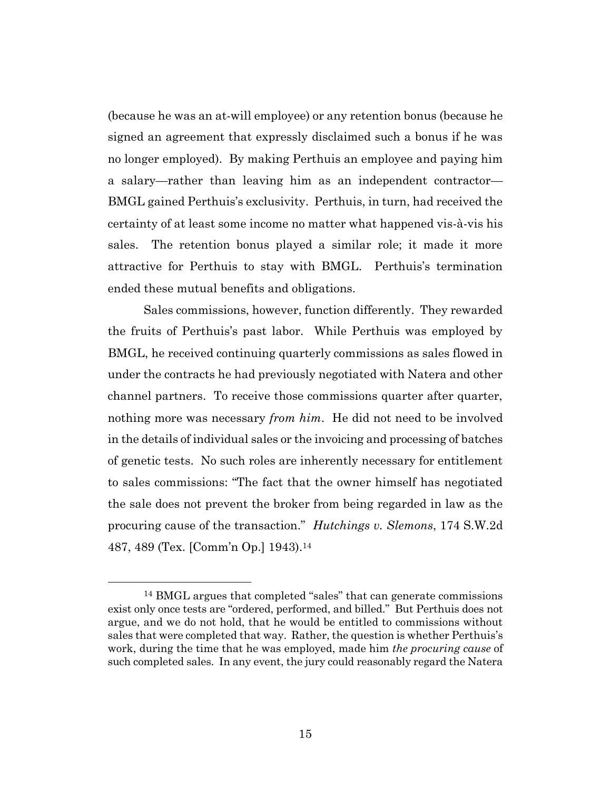(because he was an at-will employee) or any retention bonus (because he signed an agreement that expressly disclaimed such a bonus if he was no longer employed). By making Perthuis an employee and paying him a salary—rather than leaving him as an independent contractor— BMGL gained Perthuis's exclusivity. Perthuis, in turn, had received the certainty of at least some income no matter what happened vis-à-vis his sales. The retention bonus played a similar role; it made it more attractive for Perthuis to stay with BMGL. Perthuis's termination ended these mutual benefits and obligations.

Sales commissions, however, function differently. They rewarded the fruits of Perthuis's past labor. While Perthuis was employed by BMGL, he received continuing quarterly commissions as sales flowed in under the contracts he had previously negotiated with Natera and other channel partners. To receive those commissions quarter after quarter, nothing more was necessary *from him*. He did not need to be involved in the details of individual sales or the invoicing and processing of batches of genetic tests. No such roles are inherently necessary for entitlement to sales commissions: "The fact that the owner himself has negotiated the sale does not prevent the broker from being regarded in law as the procuring cause of the transaction." *Hutchings v. Slemons*, 174 S.W.2d 487, 489 (Tex. [Comm'n Op.] 1943).<sup>14</sup>

<sup>14</sup> BMGL argues that completed "sales" that can generate commissions exist only once tests are "ordered, performed, and billed." But Perthuis does not argue, and we do not hold, that he would be entitled to commissions without sales that were completed that way. Rather, the question is whether Perthuis's work, during the time that he was employed, made him *the procuring cause* of such completed sales. In any event, the jury could reasonably regard the Natera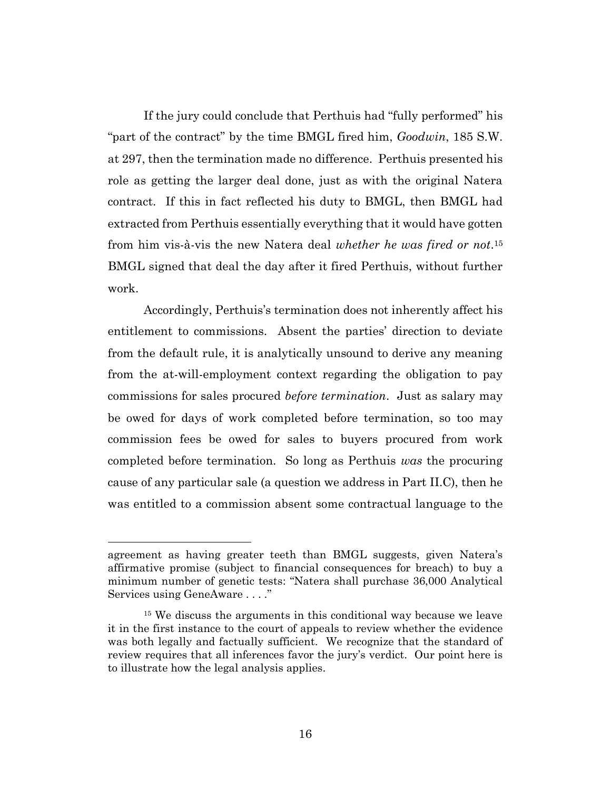If the jury could conclude that Perthuis had "fully performed" his "part of the contract" by the time BMGL fired him, *Goodwin*, 185 S.W. at 297, then the termination made no difference. Perthuis presented his role as getting the larger deal done, just as with the original Natera contract. If this in fact reflected his duty to BMGL, then BMGL had extracted from Perthuis essentially everything that it would have gotten from him vis-à-vis the new Natera deal *whether he was fired or not*. <sup>15</sup> BMGL signed that deal the day after it fired Perthuis, without further work.

Accordingly, Perthuis's termination does not inherently affect his entitlement to commissions. Absent the parties' direction to deviate from the default rule, it is analytically unsound to derive any meaning from the at-will-employment context regarding the obligation to pay commissions for sales procured *before termination*. Just as salary may be owed for days of work completed before termination, so too may commission fees be owed for sales to buyers procured from work completed before termination. So long as Perthuis *was* the procuring cause of any particular sale (a question we address in Part II.C), then he was entitled to a commission absent some contractual language to the

agreement as having greater teeth than BMGL suggests, given Natera's affirmative promise (subject to financial consequences for breach) to buy a minimum number of genetic tests: "Natera shall purchase 36,000 Analytical Services using GeneAware . . . ."

<sup>&</sup>lt;sup>15</sup> We discuss the arguments in this conditional way because we leave it in the first instance to the court of appeals to review whether the evidence was both legally and factually sufficient. We recognize that the standard of review requires that all inferences favor the jury's verdict. Our point here is to illustrate how the legal analysis applies.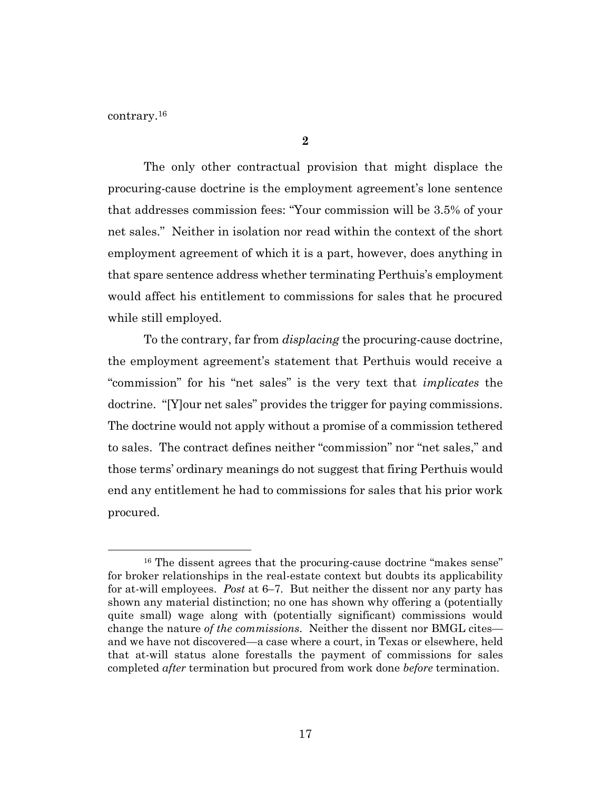contrary.<sup>16</sup>

The only other contractual provision that might displace the procuring-cause doctrine is the employment agreement's lone sentence that addresses commission fees: "Your commission will be 3.5% of your net sales." Neither in isolation nor read within the context of the short employment agreement of which it is a part, however, does anything in that spare sentence address whether terminating Perthuis's employment would affect his entitlement to commissions for sales that he procured while still employed.

To the contrary, far from *displacing* the procuring-cause doctrine, the employment agreement's statement that Perthuis would receive a "commission" for his "net sales" is the very text that *implicates* the doctrine. "[Y]our net sales" provides the trigger for paying commissions. The doctrine would not apply without a promise of a commission tethered to sales. The contract defines neither "commission" nor "net sales," and those terms' ordinary meanings do not suggest that firing Perthuis would end any entitlement he had to commissions for sales that his prior work procured.

<sup>&</sup>lt;sup>16</sup> The dissent agrees that the procuring-cause doctrine "makes sense" for broker relationships in the real-estate context but doubts its applicability for at-will employees. *Post* at 6–7. But neither the dissent nor any party has shown any material distinction; no one has shown why offering a (potentially quite small) wage along with (potentially significant) commissions would change the nature *of the commissions*. Neither the dissent nor BMGL cites and we have not discovered—a case where a court, in Texas or elsewhere, held that at-will status alone forestalls the payment of commissions for sales completed *after* termination but procured from work done *before* termination.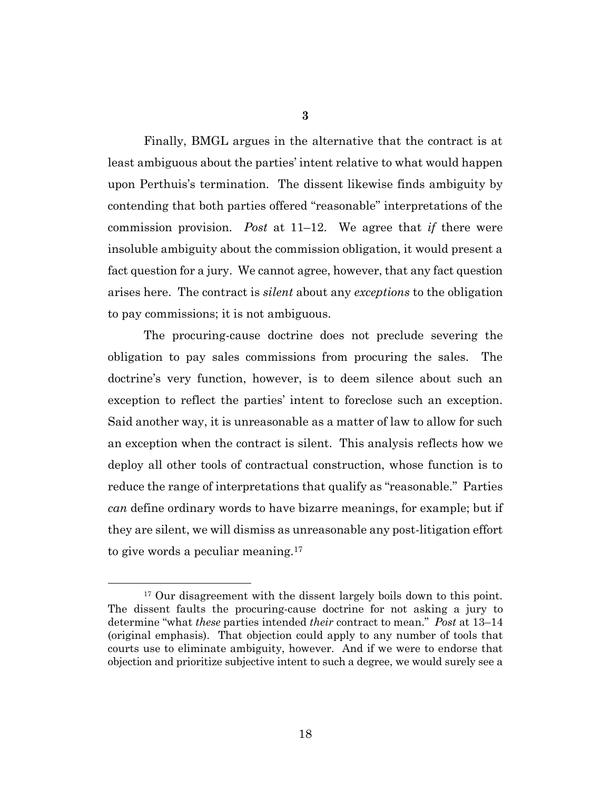Finally, BMGL argues in the alternative that the contract is at least ambiguous about the parties' intent relative to what would happen upon Perthuis's termination. The dissent likewise finds ambiguity by contending that both parties offered "reasonable" interpretations of the commission provision. *Post* at 11–12. We agree that *if* there were insoluble ambiguity about the commission obligation, it would present a fact question for a jury. We cannot agree, however, that any fact question arises here. The contract is *silent* about any *exceptions* to the obligation to pay commissions; it is not ambiguous.

The procuring-cause doctrine does not preclude severing the obligation to pay sales commissions from procuring the sales. The doctrine's very function, however, is to deem silence about such an exception to reflect the parties' intent to foreclose such an exception. Said another way, it is unreasonable as a matter of law to allow for such an exception when the contract is silent. This analysis reflects how we deploy all other tools of contractual construction, whose function is to reduce the range of interpretations that qualify as "reasonable." Parties *can* define ordinary words to have bizarre meanings, for example; but if they are silent, we will dismiss as unreasonable any post-litigation effort to give words a peculiar meaning.<sup>17</sup>

<sup>&</sup>lt;sup>17</sup> Our disagreement with the dissent largely boils down to this point. The dissent faults the procuring-cause doctrine for not asking a jury to determine "what *these* parties intended *their* contract to mean." *Post* at 13–14 (original emphasis). That objection could apply to any number of tools that courts use to eliminate ambiguity, however. And if we were to endorse that objection and prioritize subjective intent to such a degree, we would surely see a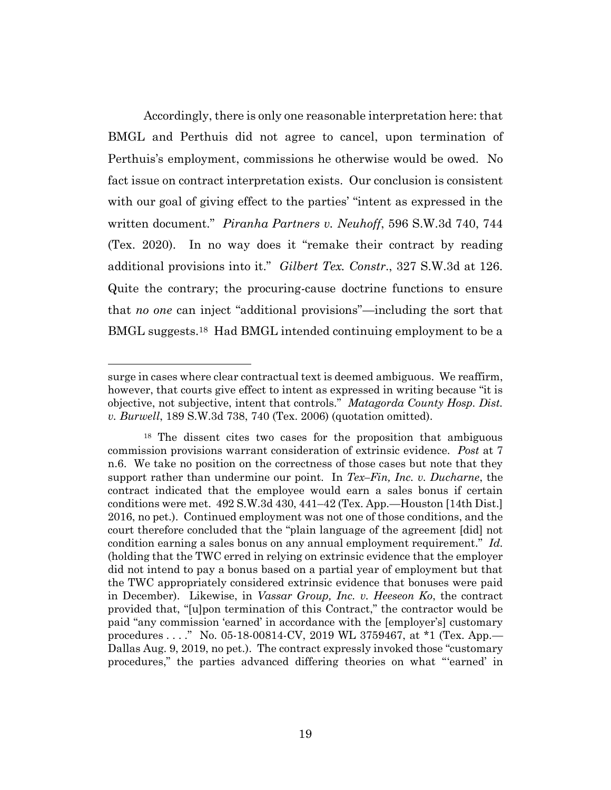Accordingly, there is only one reasonable interpretation here: that BMGL and Perthuis did not agree to cancel, upon termination of Perthuis's employment, commissions he otherwise would be owed. No fact issue on contract interpretation exists. Our conclusion is consistent with our goal of giving effect to the parties' "intent as expressed in the written document." *Piranha Partners v. Neuhoff*, 596 S.W.3d 740, 744 (Tex. 2020). In no way does it "remake their contract by reading additional provisions into it." *Gilbert Tex. Constr*., 327 S.W.3d at 126. Quite the contrary; the procuring-cause doctrine functions to ensure that *no one* can inject "additional provisions"—including the sort that BMGL suggests.18 Had BMGL intended continuing employment to be a

surge in cases where clear contractual text is deemed ambiguous. We reaffirm, however, that courts give effect to intent as expressed in writing because "it is objective, not subjective, intent that controls." *Matagorda County Hosp. Dist. v. Burwell*, 189 S.W.3d 738, 740 (Tex. 2006) (quotation omitted).

<sup>18</sup> The dissent cites two cases for the proposition that ambiguous commission provisions warrant consideration of extrinsic evidence. *Post* at 7 n.6. We take no position on the correctness of those cases but note that they support rather than undermine our point. In *Tex–Fin, Inc. v. Ducharne*, the contract indicated that the employee would earn a sales bonus if certain conditions were met. 492 S.W.3d 430, 441–42 (Tex. App.—Houston [14th Dist.] 2016, no pet.). Continued employment was not one of those conditions, and the court therefore concluded that the "plain language of the agreement [did] not condition earning a sales bonus on any annual employment requirement." *Id.*  (holding that the TWC erred in relying on extrinsic evidence that the employer did not intend to pay a bonus based on a partial year of employment but that the TWC appropriately considered extrinsic evidence that bonuses were paid in December). Likewise, in *Vassar Group, Inc. v. Heeseon Ko*, the contract provided that, "[u]pon termination of this Contract," the contractor would be paid "any commission 'earned' in accordance with the [employer's] customary procedures . . . ." No. 05-18-00814-CV, 2019 WL 3759467, at \*1 (Tex. App.— Dallas Aug. 9, 2019, no pet.). The contract expressly invoked those "customary procedures," the parties advanced differing theories on what "'earned' in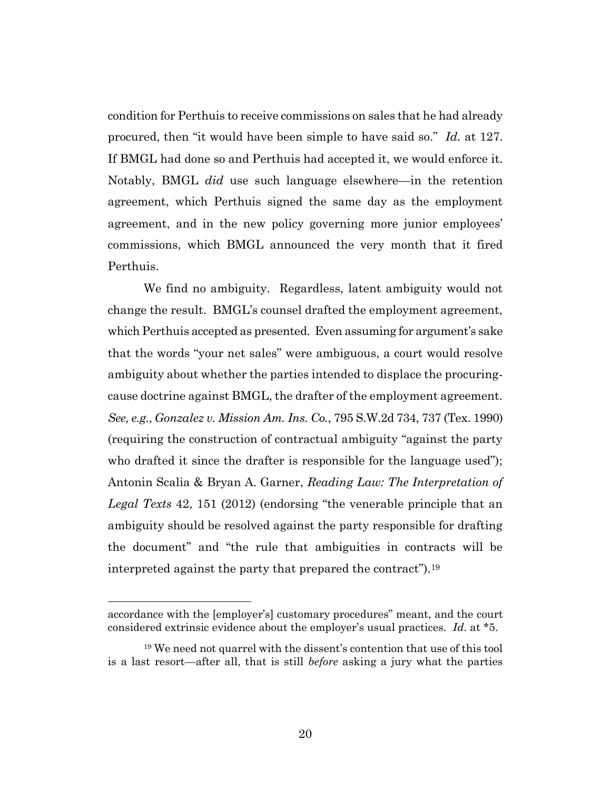condition for Perthuis to receive commissions on sales that he had already procured, then "it would have been simple to have said so." *Id.* at 127. If BMGL had done so and Perthuis had accepted it, we would enforce it. Notably, BMGL *did* use such language elsewhere—in the retention agreement, which Perthuis signed the same day as the employment agreement, and in the new policy governing more junior employees' commissions, which BMGL announced the very month that it fired Perthuis.

We find no ambiguity. Regardless, latent ambiguity would not change the result. BMGL's counsel drafted the employment agreement, which Perthuis accepted as presented. Even assuming for argument's sake that the words "your net sales" were ambiguous, a court would resolve ambiguity about whether the parties intended to displace the procuringcause doctrine against BMGL, the drafter of the employment agreement. *See, e.g.*, *Gonzalez v. Mission Am. Ins. Co.*, 795 S.W.2d 734, 737 (Tex. 1990) (requiring the construction of contractual ambiguity "against the party who drafted it since the drafter is responsible for the language used"); Antonin Scalia & Bryan A. Garner, *Reading Law: The Interpretation of Legal Texts* 42, 151 (2012) (endorsing "the venerable principle that an ambiguity should be resolved against the party responsible for drafting the document" and "the rule that ambiguities in contracts will be interpreted against the party that prepared the contract").<sup>19</sup>

accordance with the [employer's] customary procedures" meant, and the court considered extrinsic evidence about the employer's usual practices. *Id.* at \*5.

<sup>&</sup>lt;sup>19</sup> We need not quarrel with the dissent's contention that use of this tool is a last resort—after all, that is still *before* asking a jury what the parties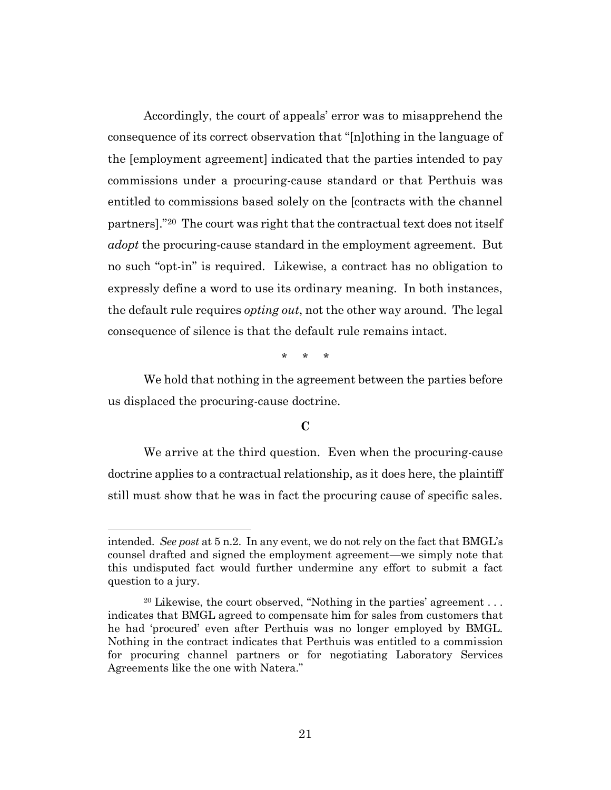Accordingly, the court of appeals' error was to misapprehend the consequence of its correct observation that "[n]othing in the language of the [employment agreement] indicated that the parties intended to pay commissions under a procuring-cause standard or that Perthuis was entitled to commissions based solely on the [contracts with the channel partners]."20 The court was right that the contractual text does not itself *adopt* the procuring-cause standard in the employment agreement. But no such "opt-in" is required. Likewise, a contract has no obligation to expressly define a word to use its ordinary meaning. In both instances, the default rule requires *opting out*, not the other way around. The legal consequence of silence is that the default rule remains intact.

\* \* \*

We hold that nothing in the agreement between the parties before us displaced the procuring-cause doctrine.

# **C**

We arrive at the third question. Even when the procuring-cause doctrine applies to a contractual relationship, as it does here, the plaintiff still must show that he was in fact the procuring cause of specific sales.

intended. *See post* at 5 n.2. In any event, we do not rely on the fact that BMGL's counsel drafted and signed the employment agreement—we simply note that this undisputed fact would further undermine any effort to submit a fact question to a jury.

<sup>&</sup>lt;sup>20</sup> Likewise, the court observed, "Nothing in the parties' agreement  $\dots$ indicates that BMGL agreed to compensate him for sales from customers that he had 'procured' even after Perthuis was no longer employed by BMGL. Nothing in the contract indicates that Perthuis was entitled to a commission for procuring channel partners or for negotiating Laboratory Services Agreements like the one with Natera."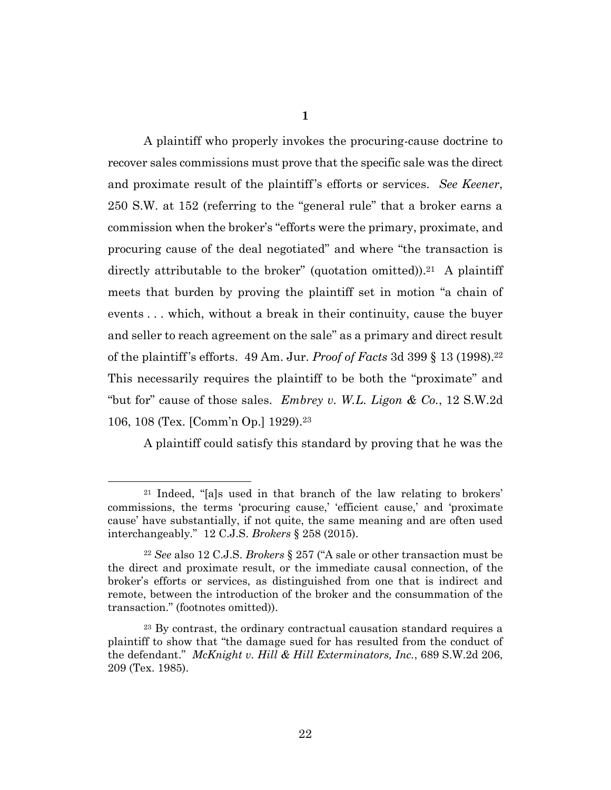**1**

A plaintiff who properly invokes the procuring-cause doctrine to recover sales commissions must prove that the specific sale was the direct and proximate result of the plaintiff's efforts or services. *See Keener*, 250 S.W. at 152 (referring to the "general rule" that a broker earns a commission when the broker's "efforts were the primary, proximate, and procuring cause of the deal negotiated" and where "the transaction is directly attributable to the broker" (quotation omitted)).<sup>21</sup> A plaintiff meets that burden by proving the plaintiff set in motion "a chain of events . . . which, without a break in their continuity, cause the buyer and seller to reach agreement on the sale" as a primary and direct result of the plaintiff's efforts. 49 Am. Jur. *Proof of Facts* 3d 399 § 13 (1998).<sup>22</sup> This necessarily requires the plaintiff to be both the "proximate" and "but for" cause of those sales. *Embrey v. W.L. Ligon & Co.*, 12 S.W.2d 106, 108 (Tex. [Comm'n Op.] 1929).<sup>23</sup>

A plaintiff could satisfy this standard by proving that he was the

<sup>21</sup> Indeed, "[a]s used in that branch of the law relating to brokers' commissions, the terms 'procuring cause,' 'efficient cause,' and 'proximate cause' have substantially, if not quite, the same meaning and are often used interchangeably." 12 C.J.S. *Brokers* § 258 (2015).

<sup>22</sup> *See* also 12 C.J.S. *Brokers* § 257 ("A sale or other transaction must be the direct and proximate result, or the immediate causal connection, of the broker's efforts or services, as distinguished from one that is indirect and remote, between the introduction of the broker and the consummation of the transaction." (footnotes omitted)).

<sup>&</sup>lt;sup>23</sup> By contrast, the ordinary contractual causation standard requires a plaintiff to show that "the damage sued for has resulted from the conduct of the defendant." *McKnight v. Hill & Hill Exterminators, Inc.*, 689 S.W.2d 206, 209 (Tex. 1985).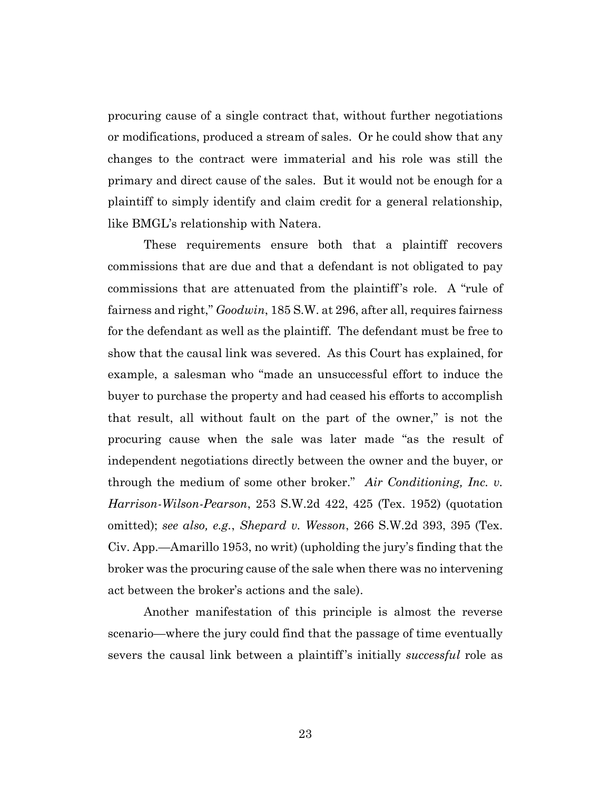procuring cause of a single contract that, without further negotiations or modifications, produced a stream of sales. Or he could show that any changes to the contract were immaterial and his role was still the primary and direct cause of the sales. But it would not be enough for a plaintiff to simply identify and claim credit for a general relationship, like BMGL's relationship with Natera.

These requirements ensure both that a plaintiff recovers commissions that are due and that a defendant is not obligated to pay commissions that are attenuated from the plaintiff's role. A "rule of fairness and right," *Goodwin*, 185 S.W. at 296, after all, requires fairness for the defendant as well as the plaintiff. The defendant must be free to show that the causal link was severed. As this Court has explained, for example, a salesman who "made an unsuccessful effort to induce the buyer to purchase the property and had ceased his efforts to accomplish that result, all without fault on the part of the owner," is not the procuring cause when the sale was later made "as the result of independent negotiations directly between the owner and the buyer, or through the medium of some other broker." *Air Conditioning, Inc. v. Harrison-Wilson-Pearson*, 253 S.W.2d 422, 425 (Tex. 1952) (quotation omitted); *see also, e.g.*, *Shepard v. Wesson*, 266 S.W.2d 393, 395 (Tex. Civ. App.—Amarillo 1953, no writ) (upholding the jury's finding that the broker was the procuring cause of the sale when there was no intervening act between the broker's actions and the sale).

Another manifestation of this principle is almost the reverse scenario—where the jury could find that the passage of time eventually severs the causal link between a plaintiff's initially *successful* role as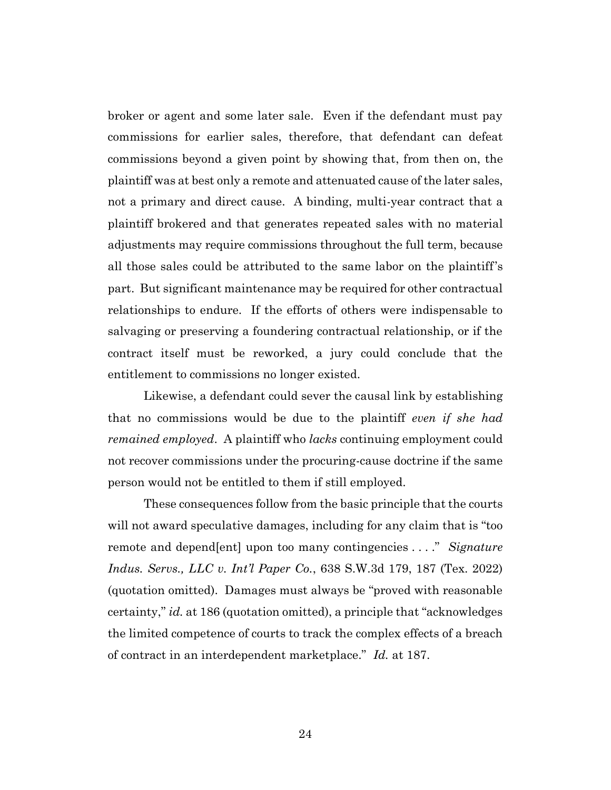broker or agent and some later sale. Even if the defendant must pay commissions for earlier sales, therefore, that defendant can defeat commissions beyond a given point by showing that, from then on, the plaintiff was at best only a remote and attenuated cause of the later sales, not a primary and direct cause. A binding, multi-year contract that a plaintiff brokered and that generates repeated sales with no material adjustments may require commissions throughout the full term, because all those sales could be attributed to the same labor on the plaintiff's part. But significant maintenance may be required for other contractual relationships to endure. If the efforts of others were indispensable to salvaging or preserving a foundering contractual relationship, or if the contract itself must be reworked, a jury could conclude that the entitlement to commissions no longer existed.

Likewise, a defendant could sever the causal link by establishing that no commissions would be due to the plaintiff *even if she had remained employed*. A plaintiff who *lacks* continuing employment could not recover commissions under the procuring-cause doctrine if the same person would not be entitled to them if still employed.

These consequences follow from the basic principle that the courts will not award speculative damages, including for any claim that is "too remote and depend[ent] upon too many contingencies . . . ." *Signature Indus. Servs., LLC v. Int'l Paper Co.*, 638 S.W.3d 179, 187 (Tex. 2022) (quotation omitted). Damages must always be "proved with reasonable certainty," *id.* at 186 (quotation omitted), a principle that "acknowledges the limited competence of courts to track the complex effects of a breach of contract in an interdependent marketplace." *Id.* at 187.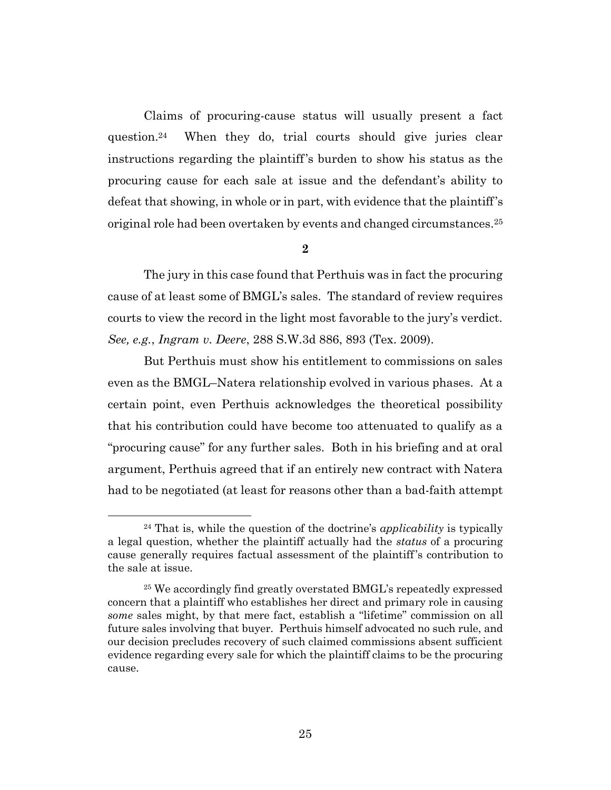Claims of procuring-cause status will usually present a fact question.24 When they do, trial courts should give juries clear instructions regarding the plaintiff's burden to show his status as the procuring cause for each sale at issue and the defendant's ability to defeat that showing, in whole or in part, with evidence that the plaintiff's original role had been overtaken by events and changed circumstances.<sup>25</sup>

### **2**

The jury in this case found that Perthuis was in fact the procuring cause of at least some of BMGL's sales. The standard of review requires courts to view the record in the light most favorable to the jury's verdict. *See, e.g.*, *Ingram v. Deere*, 288 S.W.3d 886, 893 (Tex. 2009).

But Perthuis must show his entitlement to commissions on sales even as the BMGL–Natera relationship evolved in various phases. At a certain point, even Perthuis acknowledges the theoretical possibility that his contribution could have become too attenuated to qualify as a "procuring cause" for any further sales. Both in his briefing and at oral argument, Perthuis agreed that if an entirely new contract with Natera had to be negotiated (at least for reasons other than a bad-faith attempt

<sup>24</sup> That is, while the question of the doctrine's *applicability* is typically a legal question, whether the plaintiff actually had the *status* of a procuring cause generally requires factual assessment of the plaintiff's contribution to the sale at issue.

<sup>25</sup> We accordingly find greatly overstated BMGL's repeatedly expressed concern that a plaintiff who establishes her direct and primary role in causing *some* sales might, by that mere fact, establish a "lifetime" commission on all future sales involving that buyer. Perthuis himself advocated no such rule, and our decision precludes recovery of such claimed commissions absent sufficient evidence regarding every sale for which the plaintiff claims to be the procuring cause.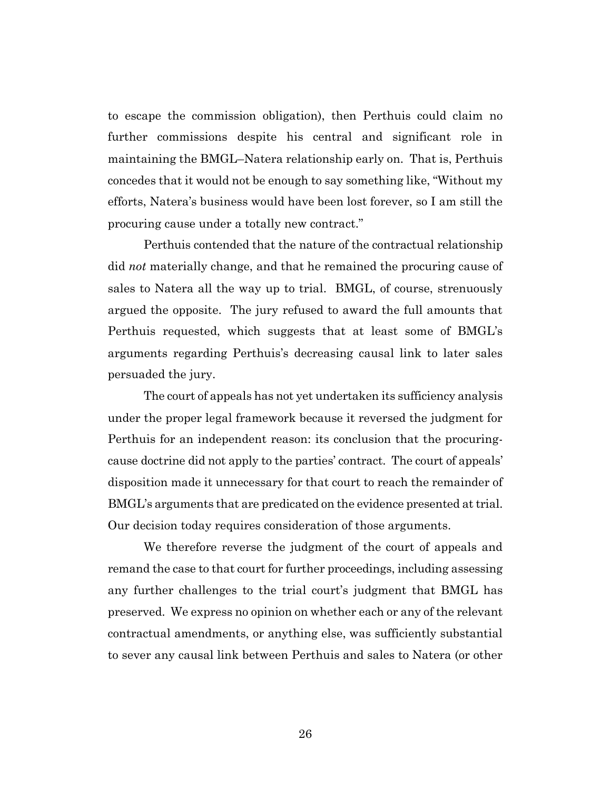to escape the commission obligation), then Perthuis could claim no further commissions despite his central and significant role in maintaining the BMGL–Natera relationship early on. That is, Perthuis concedes that it would not be enough to say something like, "Without my efforts, Natera's business would have been lost forever, so I am still the procuring cause under a totally new contract."

Perthuis contended that the nature of the contractual relationship did *not* materially change, and that he remained the procuring cause of sales to Natera all the way up to trial. BMGL, of course, strenuously argued the opposite. The jury refused to award the full amounts that Perthuis requested, which suggests that at least some of BMGL's arguments regarding Perthuis's decreasing causal link to later sales persuaded the jury.

The court of appeals has not yet undertaken its sufficiency analysis under the proper legal framework because it reversed the judgment for Perthuis for an independent reason: its conclusion that the procuringcause doctrine did not apply to the parties' contract. The court of appeals' disposition made it unnecessary for that court to reach the remainder of BMGL's arguments that are predicated on the evidence presented at trial. Our decision today requires consideration of those arguments.

We therefore reverse the judgment of the court of appeals and remand the case to that court for further proceedings, including assessing any further challenges to the trial court's judgment that BMGL has preserved. We express no opinion on whether each or any of the relevant contractual amendments, or anything else, was sufficiently substantial to sever any causal link between Perthuis and sales to Natera (or other